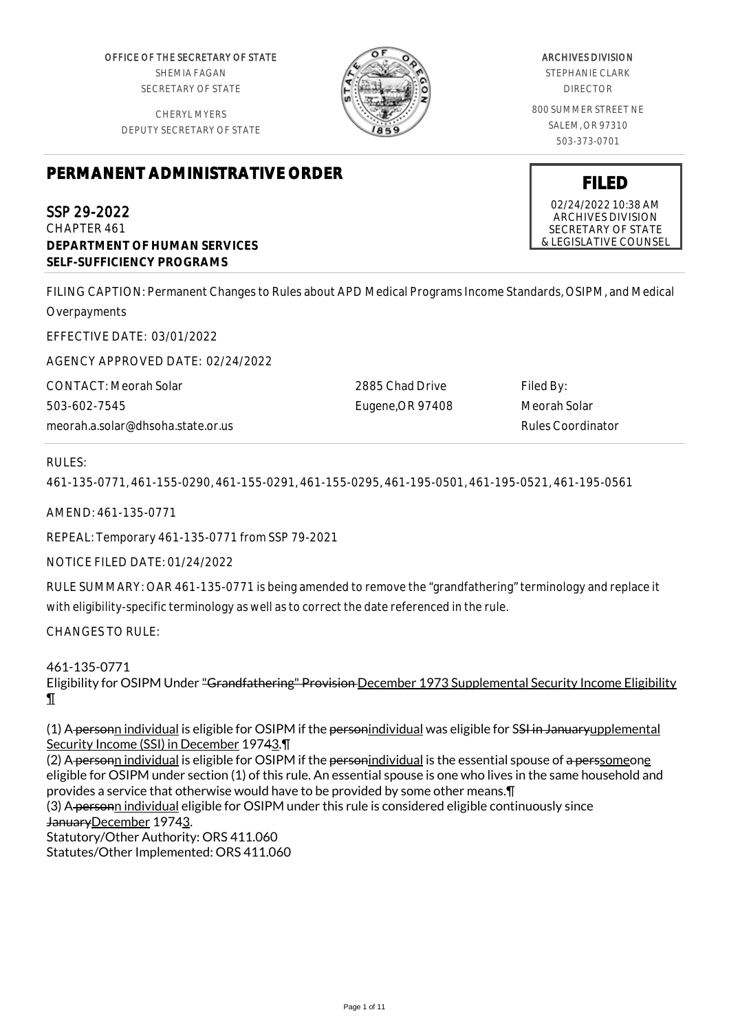OFFICE OF THE SECRETARY OF STATE SHEMIA FAGAN SECRETARY OF STATE

CHERYL MYERS DEPUTY SECRETARY OF STATE



# ARCHIVES DIVISION

STEPHANIE CLARK DIRECTOR

800 SUMMER STREET NE SALEM, OR 97310 503-373-0701

# **PERMANENT ADMINISTRATIVE ORDER**

SSP 29-2022 CHAPTER 461 **DEPARTMENT OF HUMAN SERVICES SELF-SUFFICIENCY PROGRAMS**

FILING CAPTION: Permanent Changes to Rules about APD Medical Programs Income Standards, OSIPM, and Medical Overpayments

EFFECTIVE DATE: 03/01/2022

AGENCY APPROVED DATE: 02/24/2022

CONTACT: Meorah Solar 503-602-7545 meorah.a.solar@dhsoha.state.or.us 2885 Chad Drive Eugene,OR 97408 Filed By: Meorah Solar Rules Coordinator

### RULES:

461-135-0771, 461-155-0290, 461-155-0291, 461-155-0295, 461-195-0501, 461-195-0521, 461-195-0561

AMEND: 461-135-0771

REPEAL: Temporary 461-135-0771 from SSP 79-2021

NOTICE FILED DATE: 01/24/2022

RULE SUMMARY: OAR 461-135-0771 is being amended to remove the "grandfathering" terminology and replace it with eligibility-specific terminology as well as to correct the date referenced in the rule.

CHANGES TO RULE:

461-135-0771

Eligibility for OSIPM Under "Grandfathering" Provision December 1973 Supplemental Security Income Eligibility ¶

(1) A personn individual is eligible for OSIPM if the personindividual was eligible for SSI in Januaryupplemental Security Income (SSI) in December 19743.¶

(2) A personn individual is eligible for OSIPM if the personindividual is the essential spouse of a perssomeone eligible for OSIPM under section (1) of this rule. An essential spouse is one who lives in the same household and provides a service that otherwise would have to be provided by some other means.¶

(3) A personn individual eligible for OSIPM under this rule is considered eligible continuously since JanuaryDecember 19743.

Statutory/Other Authority: ORS 411.060 Statutes/Other Implemented: ORS 411.060

**FILED** 02/24/2022 10:38 AM

ARCHIVES DIVISION SECRETARY OF STATE & LEGISLATIVE COUNSEL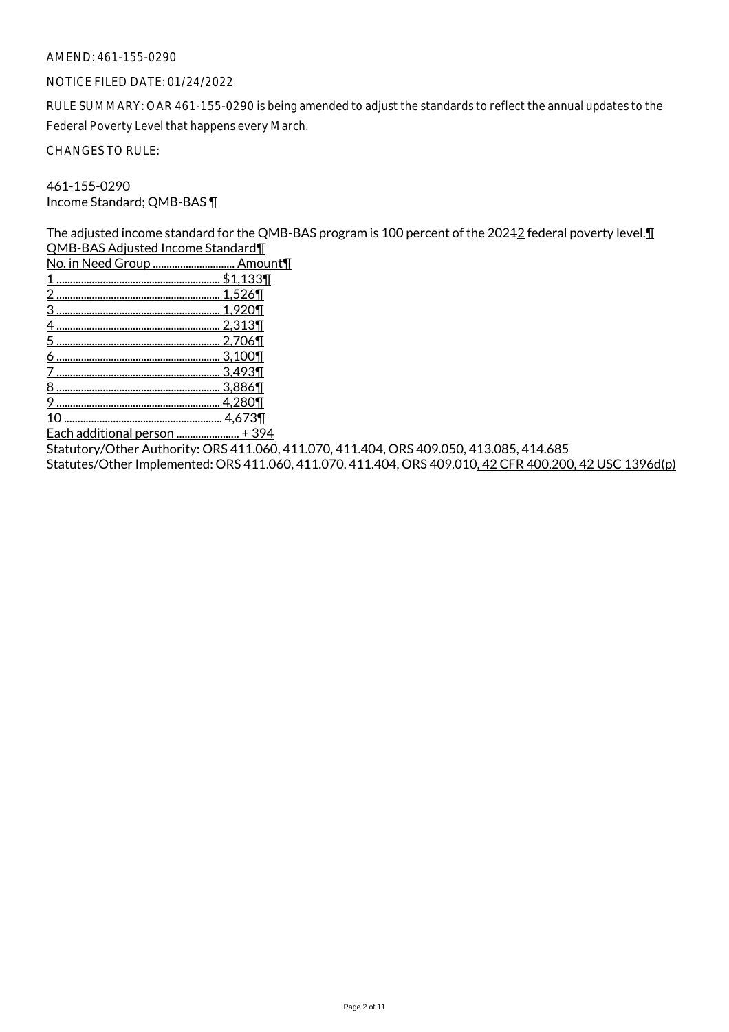#### AMEND: 461-155-0290

#### NOTICE FILED DATE: 01/24/2022

RULE SUMMARY: OAR 461-155-0290 is being amended to adjust the standards to reflect the annual updates to the Federal Poverty Level that happens every March.

CHANGES TO RULE:

461-155-0290 Income Standard; QMB-BAS ¶

The adjusted income standard for the QMB-BAS program is 100 percent of the 20242 federal poverty level. I QMB-BAS Adjusted Income Standard¶

| No. in Need Group  Amount¶ |
|----------------------------|
| $AA$ $AO$                  |

- 1 ............................................................ \$1,133¶ 2 ............................................................ 1,526¶ 3 ............................................................ 1,920¶
- 4 ............................................................ 2,313¶
- 5 ............................................................ 2,706¶
- 6 ............................................................ 3,100¶
- 7 ............................................................ 3,493¶
- 8 ............................................................ 3,886¶
- 9 ............................................................ 4,280¶
- 10 .......................................................... 4,673¶

Each additional person ....................... + 394

Statutory/Other Authority: ORS 411.060, 411.070, 411.404, ORS 409.050, 413.085, 414.685

Statutes/Other Implemented: ORS 411.060, 411.070, 411.404, ORS 409.010, 42 CFR 400.200, 42 USC 1396d(p)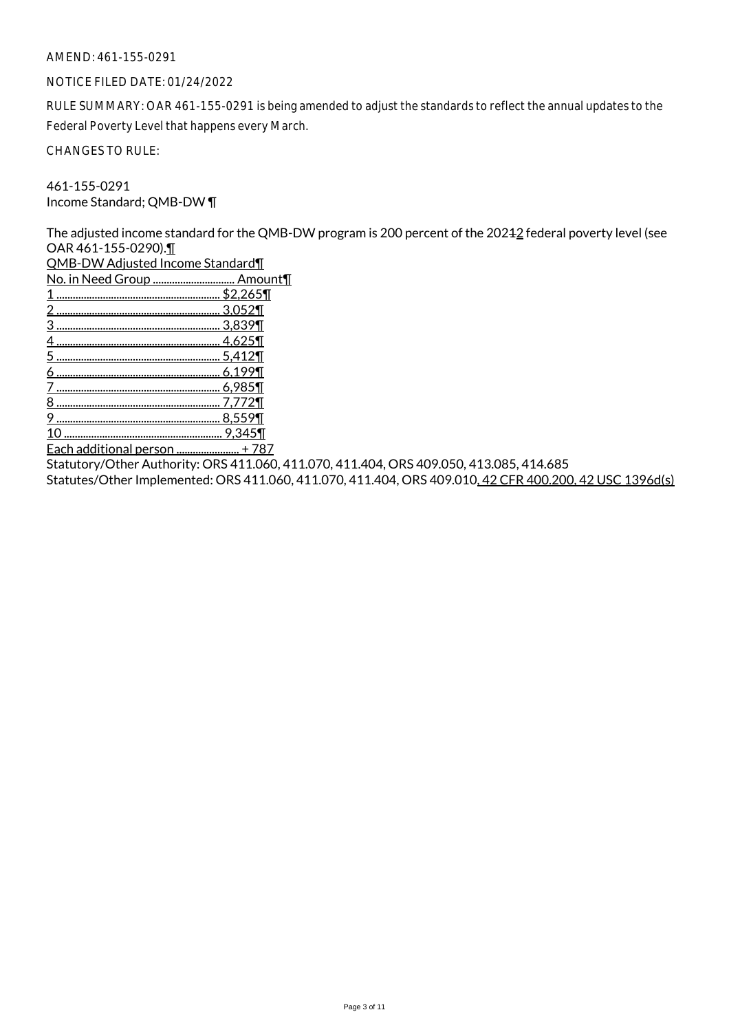#### AMEND: 461-155-0291

#### NOTICE FILED DATE: 01/24/2022

RULE SUMMARY: OAR 461-155-0291 is being amended to adjust the standards to reflect the annual updates to the Federal Poverty Level that happens every March.

CHANGES TO RULE:

461-155-0291 Income Standard; QMB-DW ¶

The adjusted income standard for the QMB-DW program is 200 percent of the 20242 federal poverty level (see OAR 461-155-0290).¶

QMB-DW Adjusted Income Standard¶

No. in Need Group .............................. Amount¶

- 1 ............................................................ \$2,265¶ 2 ............................................................ 3,052¶ 3 ............................................................ 3,839¶ 4 ............................................................ 4,625¶ 5 ............................................................ 5,412¶
- 6 ............................................................ 6,199¶
- 7 ............................................................ 6,985¶
- 8 ............................................................ 7,772¶ 9 ............................................................ 8,559¶
- 10 .......................................................... 9,345¶

Each additional person ....................... + 787

Statutory/Other Authority: ORS 411.060, 411.070, 411.404, ORS 409.050, 413.085, 414.685

Statutes/Other Implemented: ORS 411.060, 411.070, 411.404, ORS 409.010, 42 CFR 400.200, 42 USC 1396d(s)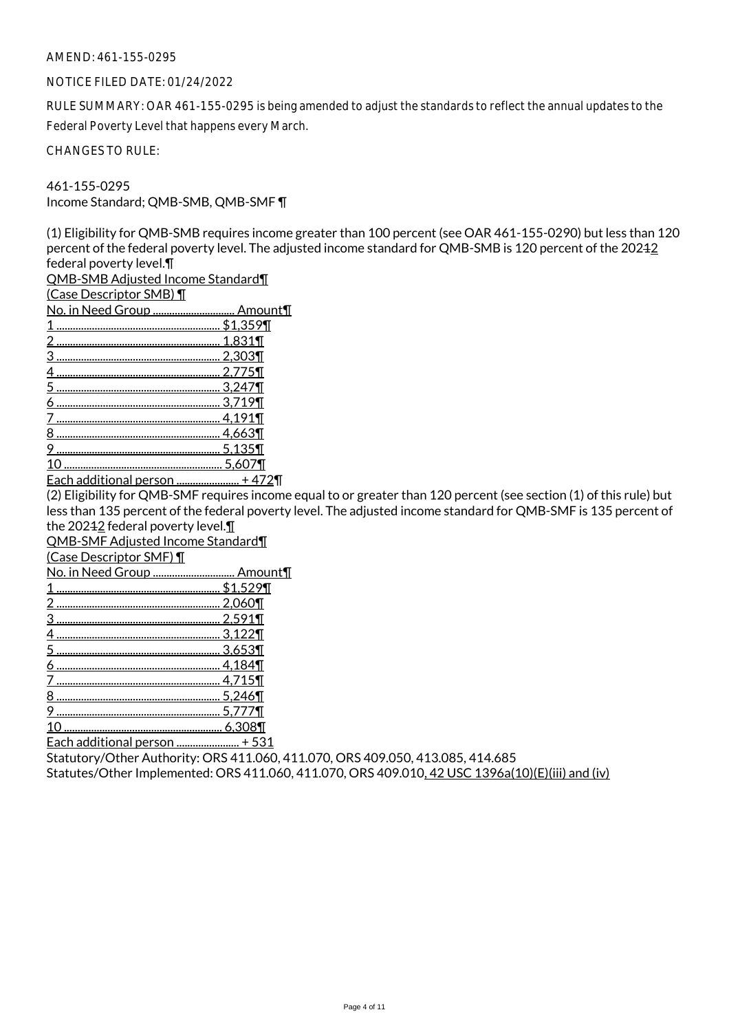#### AMEND: 461-155-0295

#### NOTICE FILED DATE: 01/24/2022

RULE SUMMARY: OAR 461-155-0295 is being amended to adjust the standards to reflect the annual updates to the Federal Poverty Level that happens every March.

CHANGES TO RULE:

461-155-0295 Income Standard; QMB-SMB, QMB-SMF ¶

(1) Eligibility for QMB-SMB requires income greater than 100 percent (see OAR 461-155-0290) but less than 120 percent of the federal poverty level. The adjusted income standard for QMB-SMB is 120 percent of the 20242 federal poverty level.¶

QMB-SMB Adjusted Income Standard¶

(Case Descriptor SMB) ¶

| No. in Need Group  Amount¶ |            |
|----------------------------|------------|
|                            | $$1,359$ T |
|                            | 1,831¶     |
|                            | . 2,303¶   |
|                            | 2.775      |
|                            | 3,247¶     |
|                            | .3.719     |
|                            | 4,191¶     |
|                            | 4,663¶     |
|                            | 5,135      |
|                            |            |
|                            |            |

Each additional person ....................... + 472¶

(2) Eligibility for QMB-SMF requires income equal to or greater than 120 percent (see section (1) of this rule) but less than 135 percent of the federal poverty level. The adjusted income standard for QMB-SMF is 135 percent of the 20242 federal poverty level.

QMB-SMF Adjusted Income Standard¶

(Case Descriptor SMF) ¶

|  | No. in Need Group  Amount¶ |
|--|----------------------------|
|  |                            |

| \$1.529¶ |
|----------|
|          |
|          |
|          |
|          |
|          |
| 4.715    |
|          |
|          |
|          |

10 .......................................................... 6,308¶

Each additional person ....................... + 531

Statutory/Other Authority: ORS 411.060, 411.070, ORS 409.050, 413.085, 414.685 Statutes/Other Implemented: ORS 411.060, 411.070, ORS 409.010, 42 USC 1396a(10)(E)(iii) and (iv)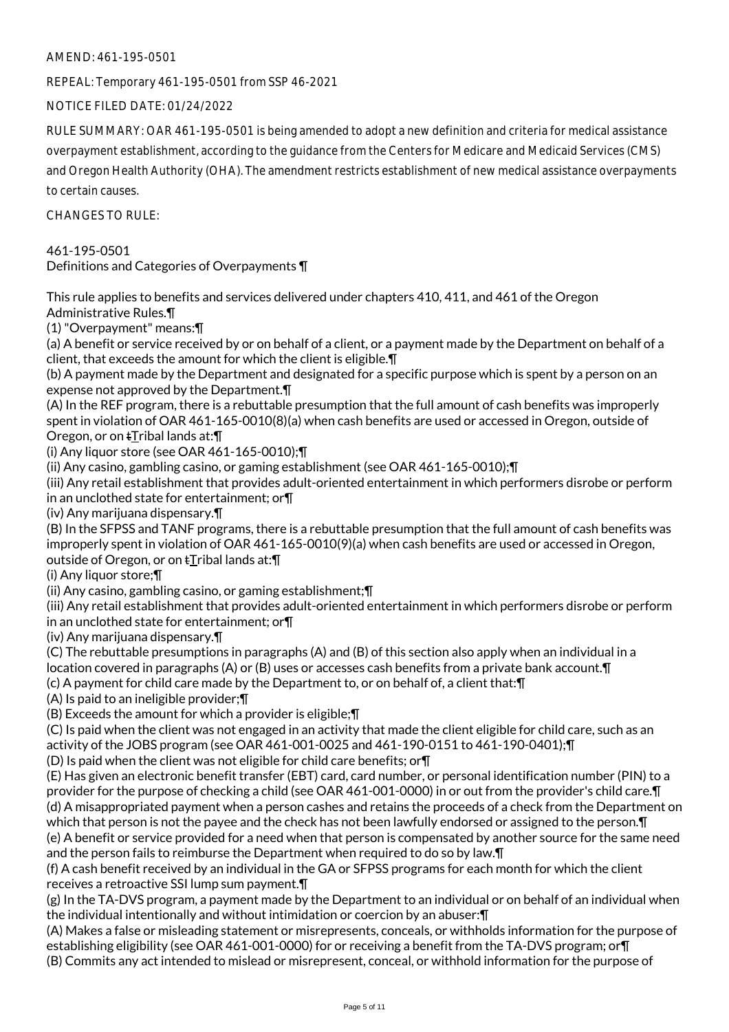AMEND: 461-195-0501

REPEAL: Temporary 461-195-0501 from SSP 46-2021

NOTICE FILED DATE: 01/24/2022

RULE SUMMARY: OAR 461-195-0501 is being amended to adopt a new definition and criteria for medical assistance overpayment establishment, according to the guidance from the Centers for Medicare and Medicaid Services (CMS) and Oregon Health Authority (OHA). The amendment restricts establishment of new medical assistance overpayments to certain causes.

CHANGES TO RULE:

461-195-0501 Definitions and Categories of Overpayments ¶

This rule applies to benefits and services delivered under chapters 410, 411, and 461 of the Oregon Administrative Rules.¶

(1) "Overpayment" means:¶

(a) A benefit or service received by or on behalf of a client, or a payment made by the Department on behalf of a client, that exceeds the amount for which the client is eligible.¶

(b) A payment made by the Department and designated for a specific purpose which is spent by a person on an expense not approved by the Department.¶

(A) In the REF program, there is a rebuttable presumption that the full amount of cash benefits was improperly spent in violation of OAR 461-165-0010(8)(a) when cash benefits are used or accessed in Oregon, outside of Oregon, or on **tTribal lands at:** 

(i) Any liquor store (see OAR 461-165-0010);¶

(ii) Any casino, gambling casino, or gaming establishment (see OAR 461-165-0010);¶

(iii) Any retail establishment that provides adult-oriented entertainment in which performers disrobe or perform in an unclothed state for entertainment; or¶

(iv) Any marijuana dispensary.¶

(B) In the SFPSS and TANF programs, there is a rebuttable presumption that the full amount of cash benefits was improperly spent in violation of OAR 461-165-0010(9)(a) when cash benefits are used or accessed in Oregon, outside of Oregon, or on tTribal lands at:¶

(i) Any liquor store;¶

(ii) Any casino, gambling casino, or gaming establishment;¶

(iii) Any retail establishment that provides adult-oriented entertainment in which performers disrobe or perform in an unclothed state for entertainment; or¶

(iv) Any marijuana dispensary.¶

(C) The rebuttable presumptions in paragraphs (A) and (B) of this section also apply when an individual in a location covered in paragraphs (A) or (B) uses or accesses cash benefits from a private bank account.¶ (c) A payment for child care made by the Department to, or on behalf of, a client that:¶

(A) Is paid to an ineligible provider;¶

(B) Exceeds the amount for which a provider is eligible;¶

(C) Is paid when the client was not engaged in an activity that made the client eligible for child care, such as an activity of the JOBS program (see OAR 461-001-0025 and 461-190-0151 to 461-190-0401);¶

(D) Is paid when the client was not eligible for child care benefits; or¶

(E) Has given an electronic benefit transfer (EBT) card, card number, or personal identification number (PIN) to a provider for the purpose of checking a child (see OAR 461-001-0000) in or out from the provider's child care.¶ (d) A misappropriated payment when a person cashes and retains the proceeds of a check from the Department on which that person is not the payee and the check has not been lawfully endorsed or assigned to the person.¶ (e) A benefit or service provided for a need when that person is compensated by another source for the same need and the person fails to reimburse the Department when required to do so by law.¶

(f) A cash benefit received by an individual in the GA or SFPSS programs for each month for which the client receives a retroactive SSI lump sum payment.¶

(g) In the TA-DVS program, a payment made by the Department to an individual or on behalf of an individual when the individual intentionally and without intimidation or coercion by an abuser:¶

(A) Makes a false or misleading statement or misrepresents, conceals, or withholds information for the purpose of establishing eligibility (see OAR 461-001-0000) for or receiving a benefit from the TA-DVS program; or¶ (B) Commits any act intended to mislead or misrepresent, conceal, or withhold information for the purpose of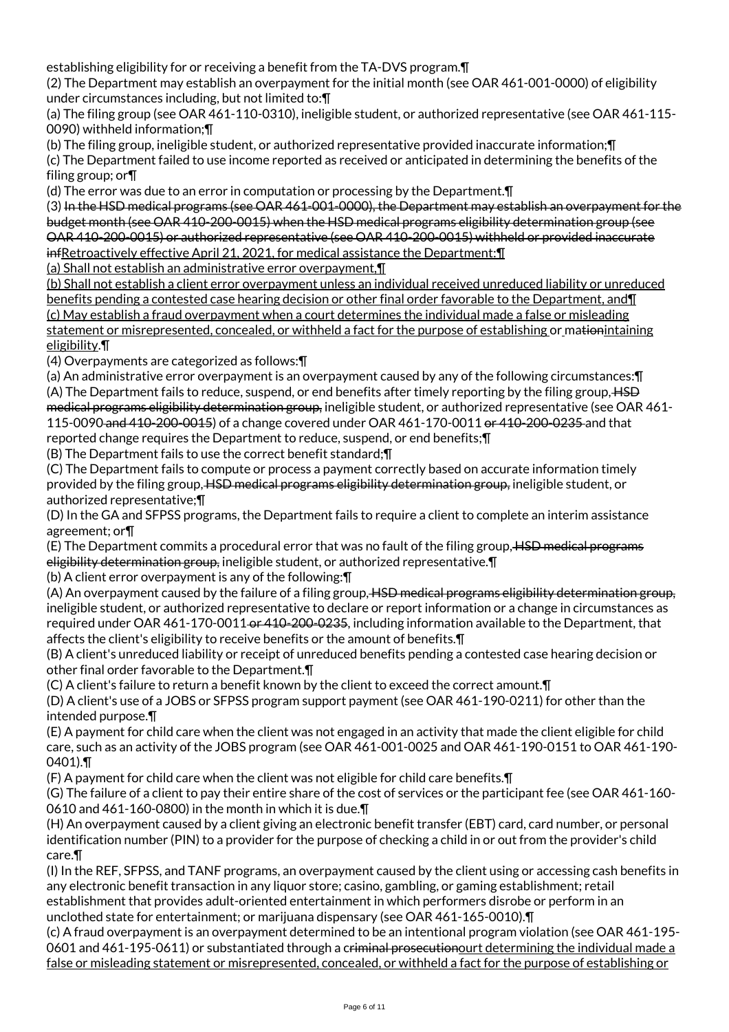establishing eligibility for or receiving a benefit from the TA-DVS program.¶

(2) The Department may establish an overpayment for the initial month (see OAR 461-001-0000) of eligibility under circumstances including, but not limited to:¶

(a) The filing group (see OAR 461-110-0310), ineligible student, or authorized representative (see OAR 461-115- 0090) withheld information;¶

(b) The filing group, ineligible student, or authorized representative provided inaccurate information;¶

(c) The Department failed to use income reported as received or anticipated in determining the benefits of the filing group; or¶

(d) The error was due to an error in computation or processing by the Department.¶

(3) In the HSD medical programs (see OAR 461-001-0000), the Department may establish an overpayment for the budget month (see OAR 410-200-0015) when the HSD medical programs eligibility determination group (see OAR 410-200-0015) or authorized representative (see OAR 410-200-0015) withheld or provided inaccurate infRetroactively effective April 21, 2021, for medical assistance the Department:¶

(a) Shall not establish an administrative error overpayment,¶

(b) Shall not establish a client error overpayment unless an individual received unreduced liability or unreduced benefits pending a contested case hearing decision or other final order favorable to the Department, and¶ (c) May establish a fraud overpayment when a court determines the individual made a false or misleading statement or misrepresented, concealed, or withheld a fact for the purpose of establishing or mationintaining eligibility.¶

(4) Overpayments are categorized as follows:¶

(a) An administrative error overpayment is an overpayment caused by any of the following circumstances:¶ (A) The Department fails to reduce, suspend, or end benefits after timely reporting by the filing group, HSD medical programs eligibility determination group, ineligible student, or authorized representative (see OAR 461- 115-0090 and 410-200-0015) of a change covered under OAR 461-170-0011 or 410-200-0235 and that reported change requires the Department to reduce, suspend, or end benefits;¶

(B) The Department fails to use the correct benefit standard;¶

(C) The Department fails to compute or process a payment correctly based on accurate information timely provided by the filing group, HSD medical programs eligibility determination group, ineligible student, or authorized representative;¶

(D) In the GA and SFPSS programs, the Department fails to require a client to complete an interim assistance agreement; or¶

(E) The Department commits a procedural error that was no fault of the filing group, HSD medical programs eligibility determination group, ineligible student, or authorized representative. [1]

(b) A client error overpayment is any of the following:¶

(A) An overpayment caused by the failure of a filing group, HSD medical programs eligibility determination group, ineligible student, or authorized representative to declare or report information or a change in circumstances as required under OAR 461-170-0011 or 410-200-0235, including information available to the Department, that affects the client's eligibility to receive benefits or the amount of benefits.¶

(B) A client's unreduced liability or receipt of unreduced benefits pending a contested case hearing decision or other final order favorable to the Department.¶

(C) A client's failure to return a benefit known by the client to exceed the correct amount.¶

(D) A client's use of a JOBS or SFPSS program support payment (see OAR 461-190-0211) for other than the intended purpose.¶

(E) A payment for child care when the client was not engaged in an activity that made the client eligible for child care, such as an activity of the JOBS program (see OAR 461-001-0025 and OAR 461-190-0151 to OAR 461-190- 0401).¶

(F) A payment for child care when the client was not eligible for child care benefits.¶

(G) The failure of a client to pay their entire share of the cost of services or the participant fee (see OAR 461-160- 0610 and 461-160-0800) in the month in which it is due.¶

(H) An overpayment caused by a client giving an electronic benefit transfer (EBT) card, card number, or personal identification number (PIN) to a provider for the purpose of checking a child in or out from the provider's child care.¶

(I) In the REF, SFPSS, and TANF programs, an overpayment caused by the client using or accessing cash benefits in any electronic benefit transaction in any liquor store; casino, gambling, or gaming establishment; retail establishment that provides adult-oriented entertainment in which performers disrobe or perform in an unclothed state for entertainment; or marijuana dispensary (see OAR 461-165-0010).¶

(c) A fraud overpayment is an overpayment determined to be an intentional program violation (see OAR 461-195- 0601 and 461-195-0611) or substantiated through a criminal prosecutionourt determining the individual made a false or misleading statement or misrepresented, concealed, or withheld a fact for the purpose of establishing or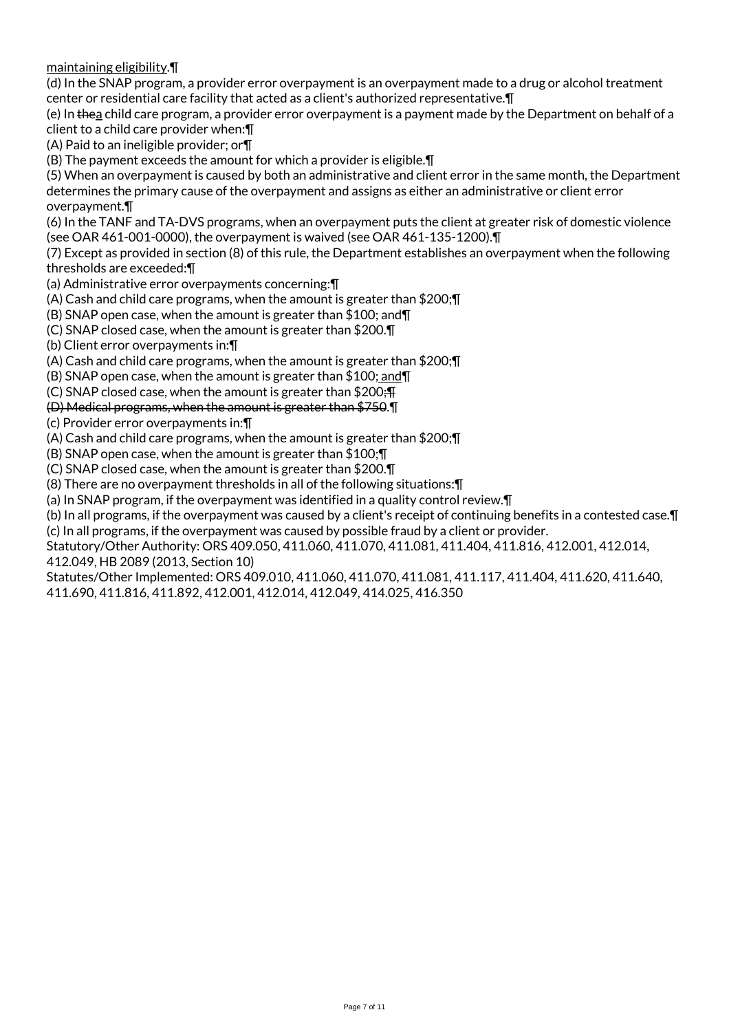maintaining eligibility.¶

(d) In the SNAP program, a provider error overpayment is an overpayment made to a drug or alcohol treatment center or residential care facility that acted as a client's authorized representative.¶

(e) In thea child care program, a provider error overpayment is a payment made by the Department on behalf of a client to a child care provider when:¶

(A) Paid to an ineligible provider; or¶

(B) The payment exceeds the amount for which a provider is eligible.¶

(5) When an overpayment is caused by both an administrative and client error in the same month, the Department determines the primary cause of the overpayment and assigns as either an administrative or client error overpayment.¶

(6) In the TANF and TA-DVS programs, when an overpayment puts the client at greater risk of domestic violence (see OAR 461-001-0000), the overpayment is waived (see OAR 461-135-1200).¶

(7) Except as provided in section (8) of this rule, the Department establishes an overpayment when the following thresholds are exceeded:¶

(a) Administrative error overpayments concerning:¶

(A) Cash and child care programs, when the amount is greater than \$200;¶

(B) SNAP open case, when the amount is greater than \$100; and¶

(C) SNAP closed case, when the amount is greater than \$200.¶

(b) Client error overpayments in:¶

(A) Cash and child care programs, when the amount is greater than \$200;¶

(B) SNAP open case, when the amount is greater than \$100; and¶

(C) SNAP closed case, when the amount is greater than  $$200;$ 

(D) Medical programs, when the amount is greater than \$750.¶

(c) Provider error overpayments in:¶

(A) Cash and child care programs, when the amount is greater than \$200;¶

(B) SNAP open case, when the amount is greater than \$100;¶

(C) SNAP closed case, when the amount is greater than \$200.¶

(8) There are no overpayment thresholds in all of the following situations:¶

(a) In SNAP program, if the overpayment was identified in a quality control review.¶

(b) In all programs, if the overpayment was caused by a client's receipt of continuing benefits in a contested case.¶

(c) In all programs, if the overpayment was caused by possible fraud by a client or provider.

Statutory/Other Authority: ORS 409.050, 411.060, 411.070, 411.081, 411.404, 411.816, 412.001, 412.014, 412.049, HB 2089 (2013, Section 10)

Statutes/Other Implemented: ORS 409.010, 411.060, 411.070, 411.081, 411.117, 411.404, 411.620, 411.640, 411.690, 411.816, 411.892, 412.001, 412.014, 412.049, 414.025, 416.350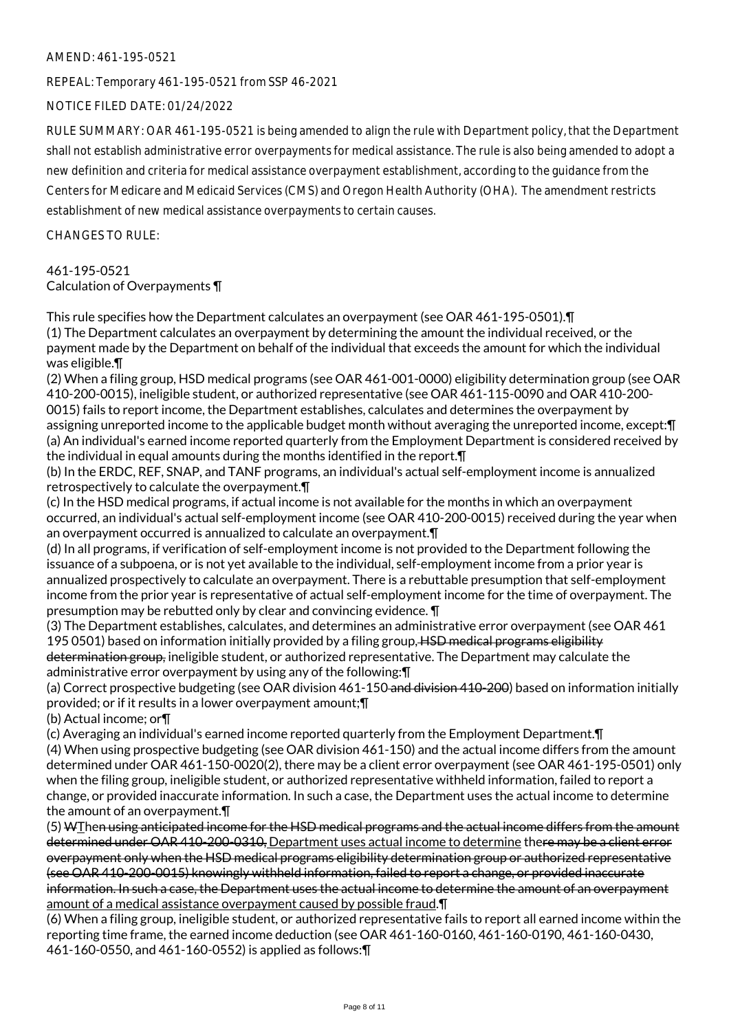#### AMEND: 461-195-0521

REPEAL: Temporary 461-195-0521 from SSP 46-2021

NOTICE FILED DATE: 01/24/2022

RULE SUMMARY: OAR 461-195-0521 is being amended to align the rule with Department policy, that the Department shall not establish administrative error overpayments for medical assistance. The rule is also being amended to adopt a new definition and criteria for medical assistance overpayment establishment, according to the guidance from the Centers for Medicare and Medicaid Services (CMS) and Oregon Health Authority (OHA). The amendment restricts establishment of new medical assistance overpayments to certain causes.

CHANGES TO RULE:

## 461-195-0521 Calculation of Overpayments ¶

This rule specifies how the Department calculates an overpayment (see OAR 461-195-0501).¶ (1) The Department calculates an overpayment by determining the amount the individual received, or the payment made by the Department on behalf of the individual that exceeds the amount for which the individual was eligible.¶

(2) When a filing group, HSD medical programs (see OAR 461-001-0000) eligibility determination group (see OAR 410-200-0015), ineligible student, or authorized representative (see OAR 461-115-0090 and OAR 410-200- 0015) fails to report income, the Department establishes, calculates and determines the overpayment by assigning unreported income to the applicable budget month without averaging the unreported income, except:¶ (a) An individual's earned income reported quarterly from the Employment Department is considered received by the individual in equal amounts during the months identified in the report.¶

(b) In the ERDC, REF, SNAP, and TANF programs, an individual's actual self-employment income is annualized retrospectively to calculate the overpayment.¶

(c) In the HSD medical programs, if actual income is not available for the months in which an overpayment occurred, an individual's actual self-employment income (see OAR 410-200-0015) received during the year when an overpayment occurred is annualized to calculate an overpayment.¶

(d) In all programs, if verification of self-employment income is not provided to the Department following the issuance of a subpoena, or is not yet available to the individual, self-employment income from a prior year is annualized prospectively to calculate an overpayment. There is a rebuttable presumption that self-employment income from the prior year is representative of actual self-employment income for the time of overpayment. The presumption may be rebutted only by clear and convincing evidence. ¶

(3) The Department establishes, calculates, and determines an administrative error overpayment (see OAR 461 195 0501) based on information initially provided by a filing group. HSD medical programs eligibility determination group, ineligible student, or authorized representative. The Department may calculate the administrative error overpayment by using any of the following:¶

(a) Correct prospective budgeting (see OAR division 461-150 and division 410-200) based on information initially provided; or if it results in a lower overpayment amount;¶

(b) Actual income; or¶

(c) Averaging an individual's earned income reported quarterly from the Employment Department.¶ (4) When using prospective budgeting (see OAR division 461-150) and the actual income differs from the amount determined under OAR 461-150-0020(2), there may be a client error overpayment (see OAR 461-195-0501) only when the filing group, ineligible student, or authorized representative withheld information, failed to report a change, or provided inaccurate information. In such a case, the Department uses the actual income to determine the amount of an overpayment.¶

(5) WThen using anticipated income for the HSD medical programs and the actual income differs from the amount determined under OAR 410-200-0310, Department uses actual income to determine there may be a client error overpayment only when the HSD medical programs eligibility determination group or authorized representative (see OAR 410-200-0015) knowingly withheld information, failed to report a change, or provided inaccurate information. In such a case, the Department uses the actual income to determine the amount of an overpayment amount of a medical assistance overpayment caused by possible fraud.¶

(6) When a filing group, ineligible student, or authorized representative fails to report all earned income within the reporting time frame, the earned income deduction (see OAR 461-160-0160, 461-160-0190, 461-160-0430, 461-160-0550, and 461-160-0552) is applied as follows:¶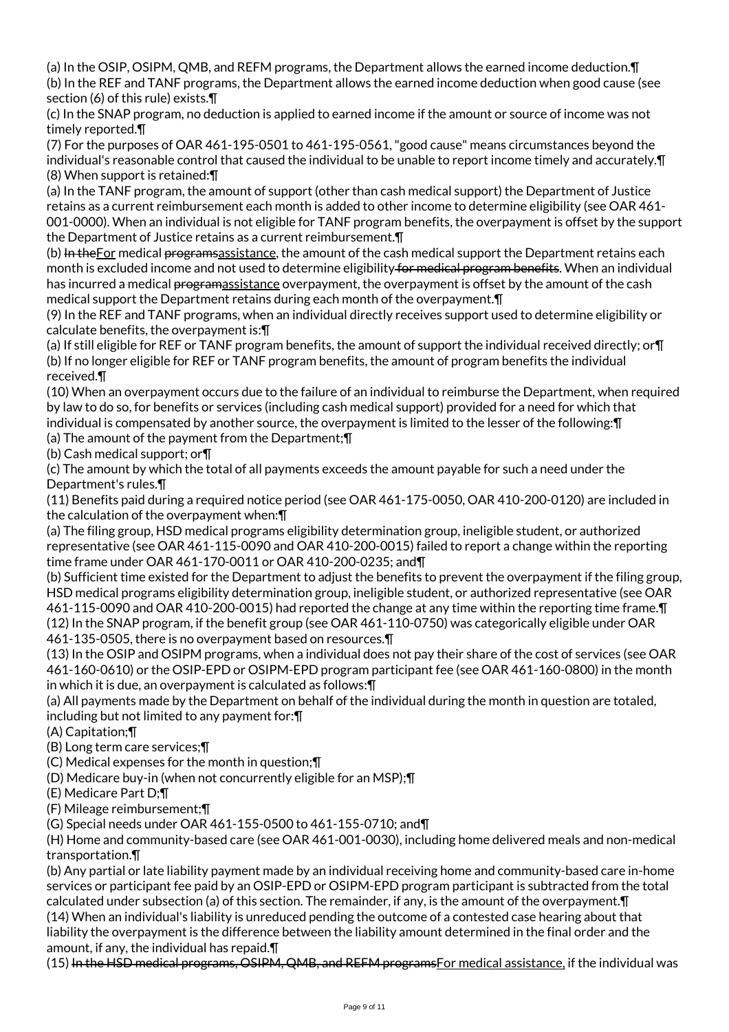(a) In the OSIP, OSIPM, QMB, and REFM programs, the Department allows the earned income deduction.¶ (b) In the REF and TANF programs, the Department allows the earned income deduction when good cause (see section (6) of this rule) exists.¶

(c) In the SNAP program, no deduction is applied to earned income if the amount or source of income was not timely reported.¶

(7) For the purposes of OAR 461-195-0501 to 461-195-0561, "good cause" means circumstances beyond the individual's reasonable control that caused the individual to be unable to report income timely and accurately.¶ (8) When support is retained:¶

(a) In the TANF program, the amount of support (other than cash medical support) the Department of Justice retains as a current reimbursement each month is added to other income to determine eligibility (see OAR 461- 001-0000). When an individual is not eligible for TANF program benefits, the overpayment is offset by the support the Department of Justice retains as a current reimbursement.¶

(b) In the For medical programs assistance, the amount of the cash medical support the Department retains each month is excluded income and not used to determine eligibility for medical program benefits. When an individual has incurred a medical programassistance overpayment, the overpayment is offset by the amount of the cash medical support the Department retains during each month of the overpayment.¶

(9) In the REF and TANF programs, when an individual directly receives support used to determine eligibility or calculate benefits, the overpayment is:¶

(a) If still eligible for REF or TANF program benefits, the amount of support the individual received directly; or¶ (b) If no longer eligible for REF or TANF program benefits, the amount of program benefits the individual received.¶

(10) When an overpayment occurs due to the failure of an individual to reimburse the Department, when required by law to do so, for benefits or services (including cash medical support) provided for a need for which that individual is compensated by another source, the overpayment is limited to the lesser of the following:¶

(a) The amount of the payment from the Department;¶

(b) Cash medical support; or¶

(c) The amount by which the total of all payments exceeds the amount payable for such a need under the Department's rules.¶

(11) Benefits paid during a required notice period (see OAR 461-175-0050, OAR 410-200-0120) are included in the calculation of the overpayment when:¶

(a) The filing group, HSD medical programs eligibility determination group, ineligible student, or authorized representative (see OAR 461-115-0090 and OAR 410-200-0015) failed to report a change within the reporting time frame under OAR 461-170-0011 or OAR 410-200-0235; and¶

(b) Sufficient time existed for the Department to adjust the benefits to prevent the overpayment if the filing group, HSD medical programs eligibility determination group, ineligible student, or authorized representative (see OAR 461-115-0090 and OAR 410-200-0015) had reported the change at any time within the reporting time frame.¶ (12) In the SNAP program, if the benefit group (see OAR 461-110-0750) was categorically eligible under OAR 461-135-0505, there is no overpayment based on resources.¶

(13) In the OSIP and OSIPM programs, when a individual does not pay their share of the cost of services (see OAR 461-160-0610) or the OSIP-EPD or OSIPM-EPD program participant fee (see OAR 461-160-0800) in the month in which it is due, an overpayment is calculated as follows:¶

(a) All payments made by the Department on behalf of the individual during the month in question are totaled, including but not limited to any payment for:¶

(A) Capitation;¶

(B) Long term care services;¶

(C) Medical expenses for the month in question;¶

(D) Medicare buy-in (when not concurrently eligible for an MSP);¶

(E) Medicare Part D;¶

(F) Mileage reimbursement;¶

(G) Special needs under OAR 461-155-0500 to 461-155-0710; and¶

(H) Home and community-based care (see OAR 461-001-0030), including home delivered meals and non-medical transportation.¶

(b) Any partial or late liability payment made by an individual receiving home and community-based care in-home services or participant fee paid by an OSIP-EPD or OSIPM-EPD program participant is subtracted from the total calculated under subsection (a) of this section. The remainder, if any, is the amount of the overpayment.¶

(14) When an individual's liability is unreduced pending the outcome of a contested case hearing about that liability the overpayment is the difference between the liability amount determined in the final order and the amount, if any, the individual has repaid.¶

(15) In the HSD medical programs, OSIPM, QMB, and REFM programsFor medical assistance, if the individual was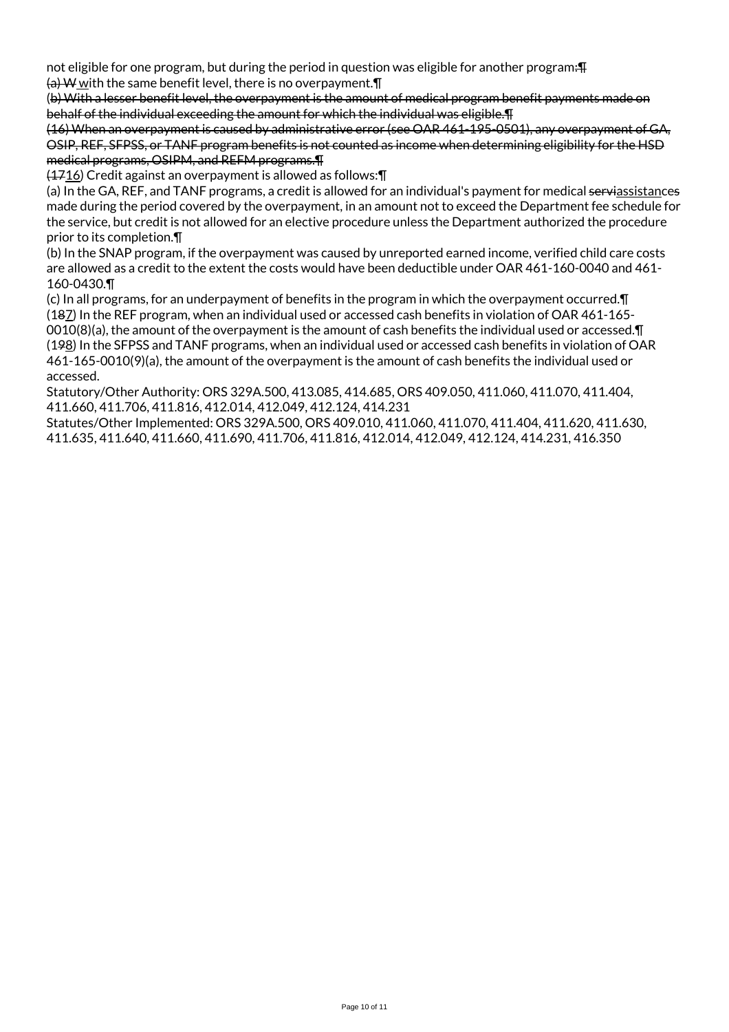not eligible for one program, but during the period in question was eligible for another program:  $\text{F}$  $\frac{1}{2}$  W with the same benefit level, there is no overpayment.  $\P$ 

(b) With a lesser benefit level, the overpayment is the amount of medical program benefit payments made on behalf of the individual exceeding the amount for which the individual was eligible.¶

(16) When an overpayment is caused by administrative error (see OAR 461-195-0501), any overpayment of GA, OSIP, REF, SFPSS, or TANF program benefits is not counted as income when determining eligibility for the HSD medical programs, OSIPM, and REFM programs.¶

(1716) Credit against an overpayment is allowed as follows:¶

(a) In the GA, REF, and TANF programs, a credit is allowed for an individual's payment for medical serviassistances made during the period covered by the overpayment, in an amount not to exceed the Department fee schedule for the service, but credit is not allowed for an elective procedure unless the Department authorized the procedure prior to its completion.¶

(b) In the SNAP program, if the overpayment was caused by unreported earned income, verified child care costs are allowed as a credit to the extent the costs would have been deductible under OAR 461-160-0040 and 461- 160-0430.¶

(c) In all programs, for an underpayment of benefits in the program in which the overpayment occurred.¶ (187) In the REF program, when an individual used or accessed cash benefits in violation of OAR 461-165- 0010(8)(a), the amount of the overpayment is the amount of cash benefits the individual used or accessed. $\P$ (198) In the SFPSS and TANF programs, when an individual used or accessed cash benefits in violation of OAR 461-165-0010(9)(a), the amount of the overpayment is the amount of cash benefits the individual used or accessed.

Statutory/Other Authority: ORS 329A.500, 413.085, 414.685, ORS 409.050, 411.060, 411.070, 411.404, 411.660, 411.706, 411.816, 412.014, 412.049, 412.124, 414.231

Statutes/Other Implemented: ORS 329A.500, ORS 409.010, 411.060, 411.070, 411.404, 411.620, 411.630, 411.635, 411.640, 411.660, 411.690, 411.706, 411.816, 412.014, 412.049, 412.124, 414.231, 416.350